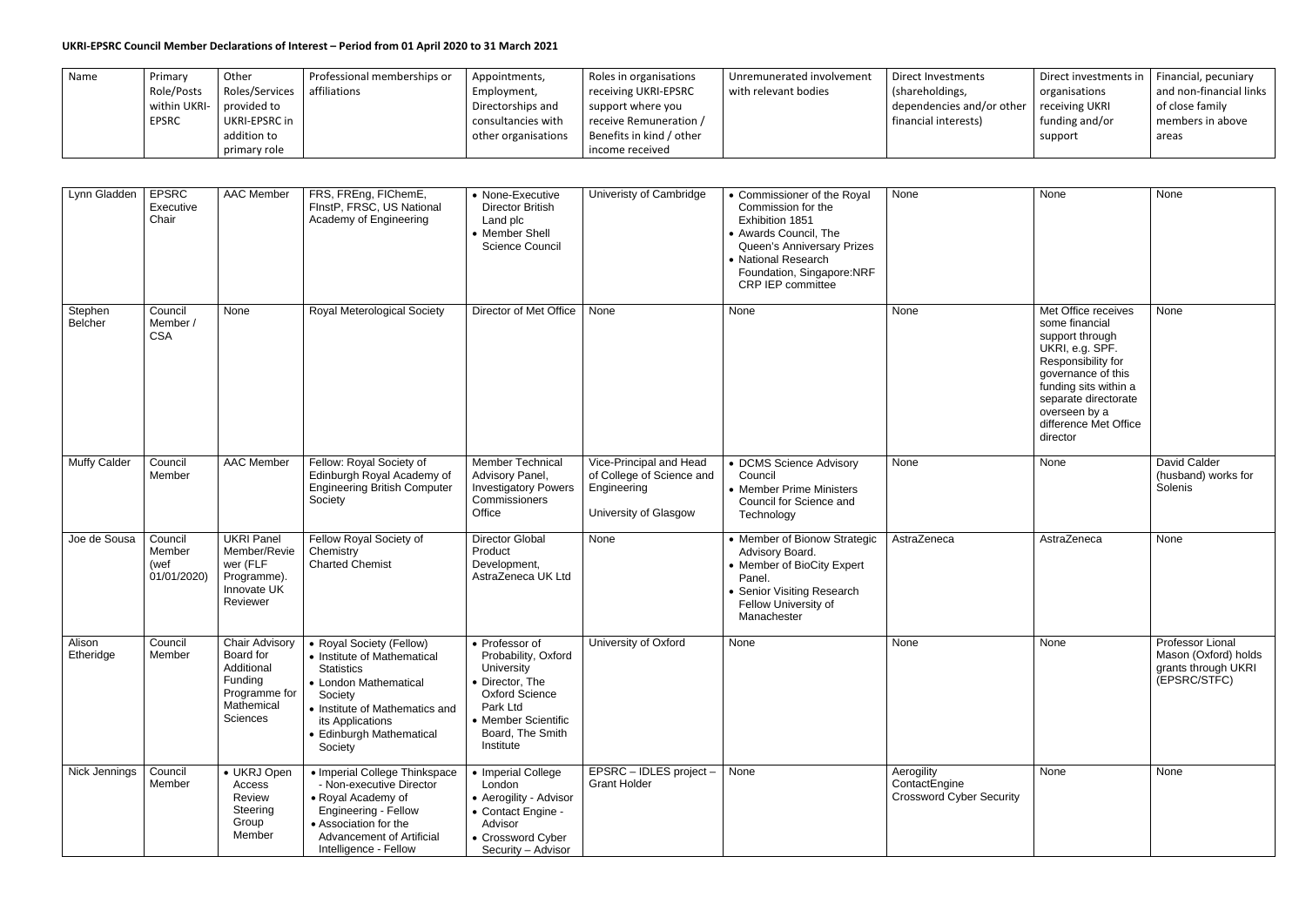| Name | Primary                  | Other          | Professional memberships or | Appointments,       | Roles in organisations   | Unremunerated involvement | Direct Investments                               | Direct investments in   Financial, pecuniary |                         |
|------|--------------------------|----------------|-----------------------------|---------------------|--------------------------|---------------------------|--------------------------------------------------|----------------------------------------------|-------------------------|
|      | Role/Posts               | Roles/Services | affiliations                | Employment,         | receiving UKRI-EPSRC     | with relevant bodies      | (shareholdings,                                  | organisations                                | and non-financial links |
|      | within UKRI- provided to |                |                             | Directorships and   | support where you        |                           | dependencies and/or other $\vert$ receiving UKRI |                                              | of close family         |
|      | <b>EPSRC</b>             | UKRI-EPSRC in  |                             | consultancies with  | receive Remuneration /   |                           | financial interests)                             | funding and/or                               | members in above        |
|      |                          | addition to    |                             | other organisations | Benefits in kind / other |                           |                                                  | support                                      | areas                   |
|      |                          | primary role   |                             |                     | income received          |                           |                                                  |                                              |                         |

| Lynn Gladden        | <b>EPSRC</b>                             | <b>AAC Member</b>                                                                                      | FRS, FREng, FIChemE,                                                                                                                                                                                          | • None-Executive                                                                                                                                                    | Univeristy of Cambridge                                                                      | • Commissioner of the Royal                                                                                                                                           | None                                                           | None                                                                                                                                                                                                                           | None                                                                            |
|---------------------|------------------------------------------|--------------------------------------------------------------------------------------------------------|---------------------------------------------------------------------------------------------------------------------------------------------------------------------------------------------------------------|---------------------------------------------------------------------------------------------------------------------------------------------------------------------|----------------------------------------------------------------------------------------------|-----------------------------------------------------------------------------------------------------------------------------------------------------------------------|----------------------------------------------------------------|--------------------------------------------------------------------------------------------------------------------------------------------------------------------------------------------------------------------------------|---------------------------------------------------------------------------------|
|                     | Executive<br>Chair                       |                                                                                                        | FInstP, FRSC, US National<br>Academy of Engineering                                                                                                                                                           | <b>Director British</b><br>Land plc<br>• Member Shell<br><b>Science Council</b>                                                                                     |                                                                                              | Commission for the<br>Exhibition 1851<br>• Awards Council, The<br>Queen's Anniversary Prizes<br>• National Research<br>Foundation, Singapore:NRF<br>CRP IEP committee |                                                                |                                                                                                                                                                                                                                |                                                                                 |
| Stephen<br>Belcher  | Council<br>Member /<br><b>CSA</b>        | None                                                                                                   | <b>Royal Meterological Society</b>                                                                                                                                                                            | Director of Met Office                                                                                                                                              | None                                                                                         | None                                                                                                                                                                  | None                                                           | Met Office receives<br>some financial<br>support through<br>UKRI, e.g. SPF.<br>Responsibility for<br>governance of this<br>funding sits within a<br>separate directorate<br>overseen by a<br>difference Met Office<br>director | None                                                                            |
| <b>Muffy Calder</b> | Council<br>Member                        | <b>AAC</b> Member                                                                                      | Fellow: Royal Society of<br>Edinburgh Royal Academy of<br><b>Engineering British Computer</b><br>Society                                                                                                      | Member Technical<br>Advisory Panel,<br><b>Investigatory Powers</b><br>Commissioners<br>Office                                                                       | Vice-Principal and Head<br>of College of Science and<br>Engineering<br>University of Glasgow | • DCMS Science Advisory<br>Council<br>• Member Prime Ministers<br>Council for Science and<br>Technology                                                               | None                                                           | None                                                                                                                                                                                                                           | David Calder<br>(husband) works for<br>Solenis                                  |
| Joe de Sousa        | Council<br>Member<br>(wef<br>01/01/2020) | <b>UKRI Panel</b><br>Member/Revie<br>wer (FLF<br>Programme).<br>Innovate UK<br>Reviewer                | Fellow Royal Society of<br>Chemistry<br><b>Charted Chemist</b>                                                                                                                                                | Director Global<br>Product<br>Development,<br>AstraZeneca UK Ltd                                                                                                    | None                                                                                         | • Member of Bionow Strategic<br>Advisory Board.<br>• Member of BioCity Expert<br>Panel.<br>• Senior Visiting Research<br>Fellow University of<br>Manachester          | AstraZeneca                                                    | AstraZeneca                                                                                                                                                                                                                    | None                                                                            |
| Alison<br>Etheridge | Council<br>Member                        | <b>Chair Advisory</b><br>Board for<br>Additional<br>Funding<br>Programme for<br>Mathemical<br>Sciences | • Royal Society (Fellow)<br>• Institute of Mathematical<br><b>Statistics</b><br>• London Mathematical<br>Society<br>• Institute of Mathematics and<br>its Applications<br>• Edinburgh Mathematical<br>Society | • Professor of<br>Probability, Oxford<br>University<br>• Director, The<br><b>Oxford Science</b><br>Park Ltd<br>• Member Scientific<br>Board, The Smith<br>Institute | University of Oxford                                                                         | None                                                                                                                                                                  | None                                                           | None                                                                                                                                                                                                                           | Professor Lional<br>Mason (Oxford) holds<br>grants through UKRI<br>(EPSRC/STFC) |
| Nick Jennings       | Council<br>Member                        | • UKRJ Open<br>Access<br>Review<br>Steering<br>Group<br>Member                                         | • Imperial College Thinkspace<br>- Non-executive Director<br>• Royal Academy of<br><b>Engineering - Fellow</b><br>• Association for the<br>Advancement of Artificial<br>Intelligence - Fellow                 | • Imperial College<br>London<br>• Aerogility - Advisor<br>• Contact Engine -<br>Advisor<br>• Crossword Cyber<br>Security - Advisor                                  | EPSRC - IDLES project -<br><b>Grant Holder</b>                                               | None                                                                                                                                                                  | Aerogility<br>ContactEngine<br><b>Crossword Cyber Security</b> | None                                                                                                                                                                                                                           | None                                                                            |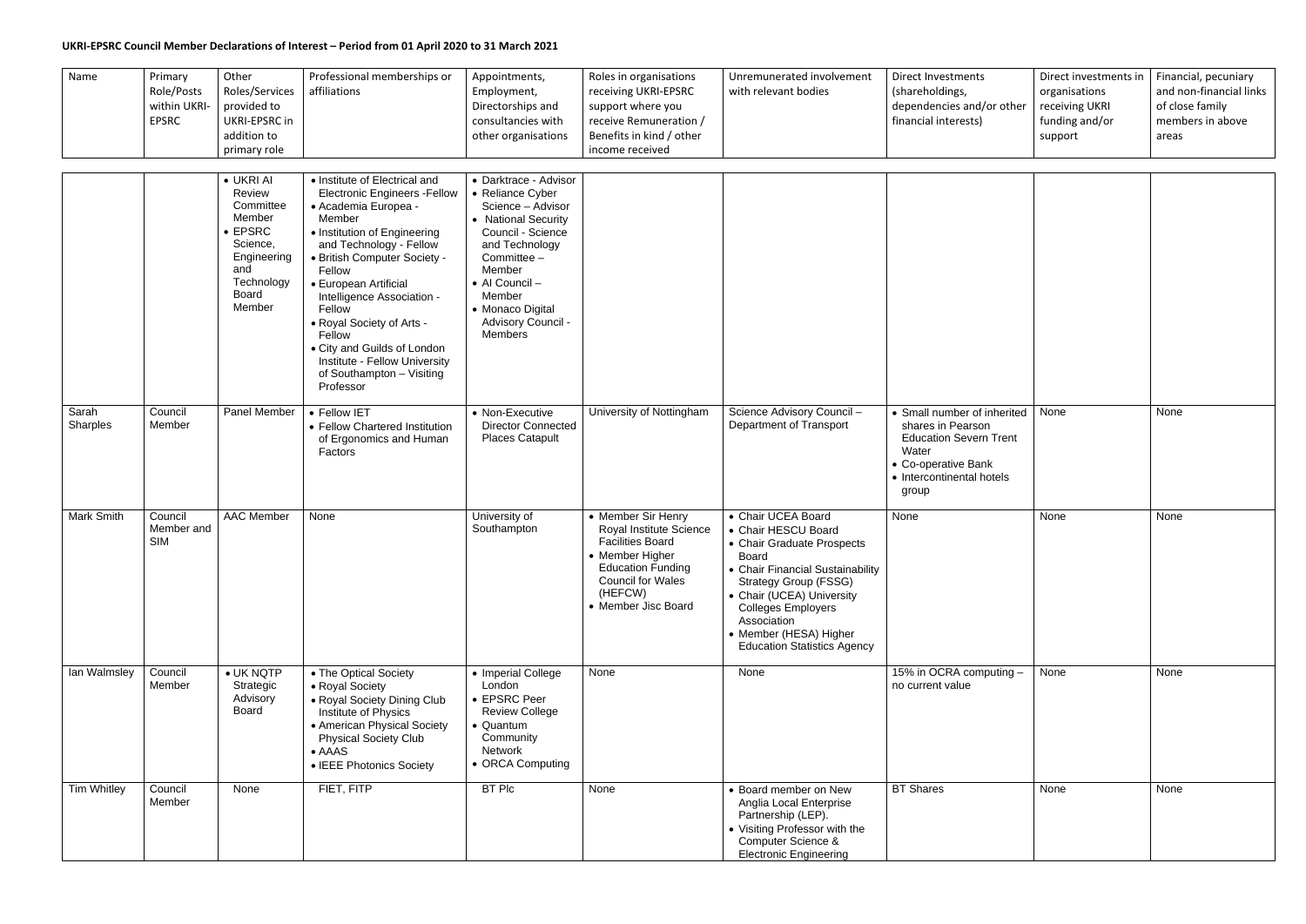| Name              | Primary<br>Role/Posts<br>within UKRI-<br><b>EPSRC</b> | Other<br>Roles/Services<br>provided to<br>UKRI-EPSRC in<br>addition to<br>primary role                                           | Professional memberships or<br>affiliations                                                                                                                                                                                                                                                                                                                                                                                    | Appointments,<br>Employment,<br>Directorships and<br>consultancies with<br>other organisations                                                                                                                                           | Roles in organisations<br>receiving UKRI-EPSRC<br>support where you<br>receive Remuneration /<br>Benefits in kind / other<br>income received                                          | Unremunerated involvement<br>with relevant bodies                                                                                                                                                                                                                                             | <b>Direct Investments</b><br>(shareholdings,<br>dependencies and/or other<br>financial interests)                                                       | Direct investments in<br>organisations<br>receiving UKRI<br>funding and/or<br>support | Financial, pecuniary<br>and non-financial links<br>of close family<br>members in above<br>areas |
|-------------------|-------------------------------------------------------|----------------------------------------------------------------------------------------------------------------------------------|--------------------------------------------------------------------------------------------------------------------------------------------------------------------------------------------------------------------------------------------------------------------------------------------------------------------------------------------------------------------------------------------------------------------------------|------------------------------------------------------------------------------------------------------------------------------------------------------------------------------------------------------------------------------------------|---------------------------------------------------------------------------------------------------------------------------------------------------------------------------------------|-----------------------------------------------------------------------------------------------------------------------------------------------------------------------------------------------------------------------------------------------------------------------------------------------|---------------------------------------------------------------------------------------------------------------------------------------------------------|---------------------------------------------------------------------------------------|-------------------------------------------------------------------------------------------------|
|                   |                                                       | • UKRI AI<br>Review<br>Committee<br>Member<br>$\bullet$ EPSRC<br>Science,<br>Engineering<br>and<br>Technology<br>Board<br>Member | • Institute of Electrical and<br><b>Electronic Engineers - Fellow</b><br>• Academia Europea -<br>Member<br>• Institution of Engineering<br>and Technology - Fellow<br>• British Computer Society -<br>Fellow<br>• European Artificial<br>Intelligence Association -<br>Fellow<br>• Royal Society of Arts -<br>Fellow<br>• City and Guilds of London<br>Institute - Fellow University<br>of Southampton - Visiting<br>Professor | • Darktrace - Advisor<br>• Reliance Cyber<br>Science - Advisor<br>• National Security<br>Council - Science<br>and Technology<br>Committee $-$<br>Member<br>• Al Council -<br>Member<br>• Monaco Digital<br>Advisory Council -<br>Members |                                                                                                                                                                                       |                                                                                                                                                                                                                                                                                               |                                                                                                                                                         |                                                                                       |                                                                                                 |
| Sarah<br>Sharples | Council<br>Member                                     | Panel Member                                                                                                                     | • Fellow IET<br>• Fellow Chartered Institution<br>of Ergonomics and Human<br>Factors                                                                                                                                                                                                                                                                                                                                           | • Non-Executive<br><b>Director Connected</b><br><b>Places Catapult</b>                                                                                                                                                                   | University of Nottingham                                                                                                                                                              | Science Advisory Council-<br>Department of Transport                                                                                                                                                                                                                                          | • Small number of inherited<br>shares in Pearson<br><b>Education Severn Trent</b><br>Water<br>• Co-operative Bank<br>• Intercontinental hotels<br>group | None                                                                                  | None                                                                                            |
| <b>Mark Smith</b> | Council<br>Member and<br><b>SIM</b>                   | <b>AAC</b> Member                                                                                                                | None                                                                                                                                                                                                                                                                                                                                                                                                                           | University of<br>Southampton                                                                                                                                                                                                             | • Member Sir Henry<br>Royal Institute Science<br><b>Facilities Board</b><br>• Member Higher<br><b>Education Funding</b><br><b>Council for Wales</b><br>(HEFCW)<br>• Member Jisc Board | • Chair UCEA Board<br>• Chair HESCU Board<br>• Chair Graduate Prospects<br>Board<br>• Chair Financial Sustainability<br><b>Strategy Group (FSSG)</b><br>• Chair (UCEA) University<br><b>Colleges Employers</b><br>Association<br>• Member (HESA) Higher<br><b>Education Statistics Agency</b> | None                                                                                                                                                    | None                                                                                  | None                                                                                            |
| lan Walmsley      | Council<br>Member                                     | • UK NQTP<br>Strategic<br>Advisory<br>Board                                                                                      | • The Optical Society<br>• Royal Society<br>• Royal Society Dining Club<br>Institute of Physics<br>• American Physical Society<br><b>Physical Society Club</b><br>$\bullet$ AAAS<br>• IEEE Photonics Society                                                                                                                                                                                                                   | • Imperial College<br>London<br>• EPSRC Peer<br><b>Review College</b><br>• Quantum<br>Community<br>Network<br>• ORCA Computing                                                                                                           | None                                                                                                                                                                                  | None                                                                                                                                                                                                                                                                                          | 15% in OCRA computing -<br>no current value                                                                                                             | None                                                                                  | None                                                                                            |
| Tim Whitley       | Council<br>Member                                     | None                                                                                                                             | FIET, FITP                                                                                                                                                                                                                                                                                                                                                                                                                     | <b>BT Plc</b>                                                                                                                                                                                                                            | None                                                                                                                                                                                  | • Board member on New<br>Anglia Local Enterprise<br>Partnership (LEP).<br>• Visiting Professor with the<br>Computer Science &<br><b>Electronic Engineering</b>                                                                                                                                | <b>BT Shares</b>                                                                                                                                        | None                                                                                  | None                                                                                            |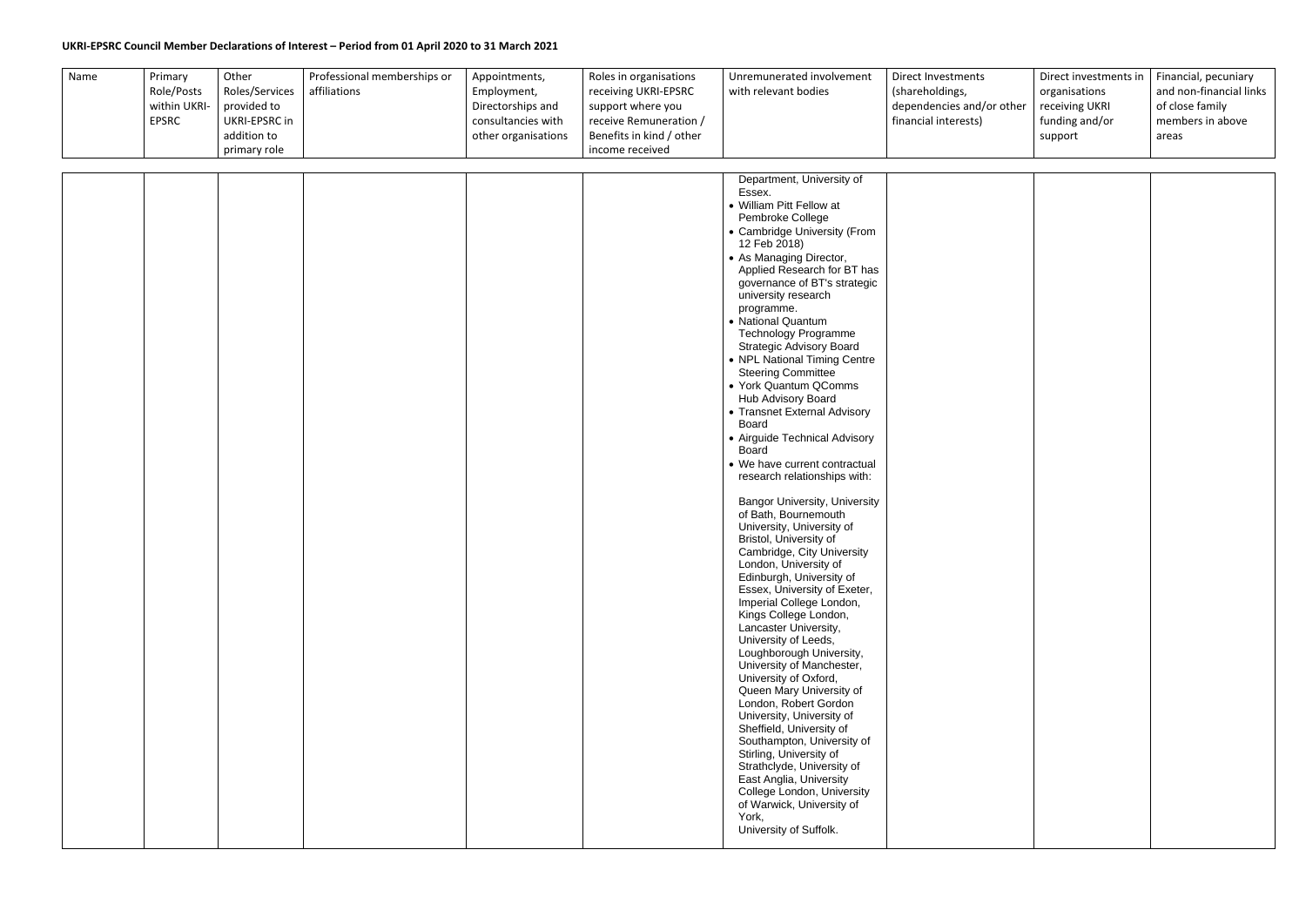| Name | Primary      | Other          | Professional memberships or | Appointments,       | Roles in organisations   | Unremunerated involvement | Direct Investments        |
|------|--------------|----------------|-----------------------------|---------------------|--------------------------|---------------------------|---------------------------|
|      | Role/Posts   | Roles/Services | affiliations                | Employment,         | receiving UKRI-EPSRC     | with relevant bodies      | (shareholdings,           |
|      | within UKRI- | provided to    |                             | Directorships and   | support where you        |                           | dependencies and/or other |
|      | <b>EPSRC</b> | UKRI-EPSRC in  |                             | consultancies with  | receive Remuneration /   |                           | financial interests)      |
|      |              | addition to    |                             | other organisations | Benefits in kind / other |                           |                           |
|      |              | primary role   |                             |                     | income received          |                           |                           |

| or other | Direct investments in<br>organisations<br>receiving UKRI<br>funding and/or<br>support | Financial, pecuniary<br>and non-financial links<br>of close family<br>members in above<br>areas |
|----------|---------------------------------------------------------------------------------------|-------------------------------------------------------------------------------------------------|
|          |                                                                                       |                                                                                                 |
|          |                                                                                       |                                                                                                 |
|          |                                                                                       |                                                                                                 |
|          |                                                                                       |                                                                                                 |
|          |                                                                                       |                                                                                                 |

|  |  | Department, University of            |  |
|--|--|--------------------------------------|--|
|  |  | Essex.                               |  |
|  |  | • William Pitt Fellow at             |  |
|  |  |                                      |  |
|  |  | Pembroke College                     |  |
|  |  | • Cambridge University (From         |  |
|  |  | 12 Feb 2018)                         |  |
|  |  | • As Managing Director,              |  |
|  |  | Applied Research for BT has          |  |
|  |  | governance of BT's strategic         |  |
|  |  |                                      |  |
|  |  | university research                  |  |
|  |  | programme.                           |  |
|  |  | • National Quantum                   |  |
|  |  | <b>Technology Programme</b>          |  |
|  |  | <b>Strategic Advisory Board</b>      |  |
|  |  | • NPL National Timing Centre         |  |
|  |  | <b>Steering Committee</b>            |  |
|  |  | • York Quantum QComms                |  |
|  |  |                                      |  |
|  |  | Hub Advisory Board                   |  |
|  |  | • Transnet External Advisory         |  |
|  |  | Board                                |  |
|  |  | • Airguide Technical Advisory        |  |
|  |  | Board                                |  |
|  |  | • We have current contractual        |  |
|  |  |                                      |  |
|  |  | research relationships with:         |  |
|  |  |                                      |  |
|  |  | <b>Bangor University, University</b> |  |
|  |  | of Bath, Bournemouth                 |  |
|  |  | University, University of            |  |
|  |  | Bristol, University of               |  |
|  |  | Cambridge, City University           |  |
|  |  | London, University of                |  |
|  |  | Edinburgh, University of             |  |
|  |  |                                      |  |
|  |  | Essex, University of Exeter,         |  |
|  |  | Imperial College London,             |  |
|  |  | Kings College London,                |  |
|  |  | Lancaster University,                |  |
|  |  | University of Leeds,                 |  |
|  |  | Loughborough University,             |  |
|  |  | University of Manchester,            |  |
|  |  | University of Oxford,                |  |
|  |  | Queen Mary University of             |  |
|  |  |                                      |  |
|  |  | London, Robert Gordon                |  |
|  |  | University, University of            |  |
|  |  | Sheffield, University of             |  |
|  |  | Southampton, University of           |  |
|  |  | Stirling, University of              |  |
|  |  | Strathclyde, University of           |  |
|  |  | East Anglia, University              |  |
|  |  |                                      |  |
|  |  | College London, University           |  |
|  |  | of Warwick, University of            |  |
|  |  | York,                                |  |
|  |  | University of Suffolk.               |  |
|  |  |                                      |  |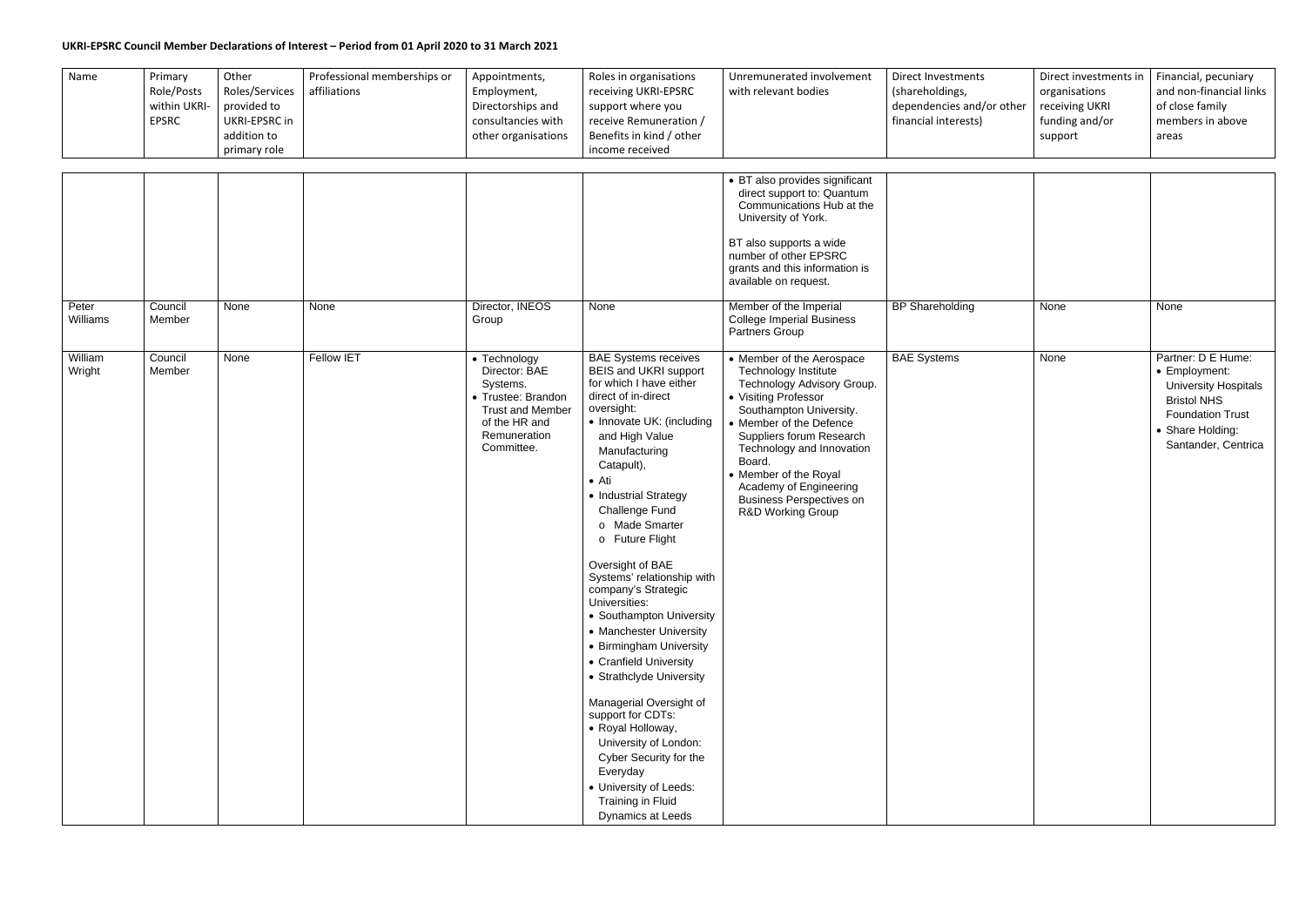| Name | Primary      | Other          | Professional memberships or | Appointments,       | Roles in organisations   | Unremunerated involvement | Direct Investments        |
|------|--------------|----------------|-----------------------------|---------------------|--------------------------|---------------------------|---------------------------|
|      | Role/Posts   | Roles/Services | affiliations                | Employment,         | receiving UKRI-EPSRC     | with relevant bodies      | (shareholdings,           |
|      | within UKRI- | provided to    |                             | Directorships and   | support where you        |                           | dependencies and/or other |
|      | <b>EPSRC</b> | UKRI-EPSRC in  |                             | consultancies with  | receive Remuneration /   |                           | financial interests)      |
|      |              | addition to    |                             | other organisations | Benefits in kind / other |                           |                           |
|      |              | primary role   |                             |                     | income received          |                           |                           |

| Direct Investments<br>(shareholdings,<br>dependencies and/or other<br>financial interests) | Direct investments in<br>organisations<br>receiving UKRI<br>funding and/or<br>support | Financial, pecuniary<br>and non-financial links<br>of close family<br>members in above<br>areas                                                                |  |  |
|--------------------------------------------------------------------------------------------|---------------------------------------------------------------------------------------|----------------------------------------------------------------------------------------------------------------------------------------------------------------|--|--|
|                                                                                            |                                                                                       |                                                                                                                                                                |  |  |
| <b>BP Shareholding</b>                                                                     | None                                                                                  | None                                                                                                                                                           |  |  |
| <b>BAE Systems</b>                                                                         | None                                                                                  | Partner: D E Hume:<br>• Employment:<br><b>University Hospitals</b><br><b>Bristol NHS</b><br><b>Foundation Trust</b><br>• Share Holding:<br>Santander, Centrica |  |  |

|                   |                   |      |                   |                                                                                                                                           |                                                                                                                                                                                                                                                                                                                                                                                                                                                                                                                                                                                                                                                                                                                                               | • BT also provides significant<br>direct support to: Quantum<br>Communications Hub at the<br>University of York.<br>BT also supports a wide<br>number of other EPSRC<br>grants and this information is<br>available on request.                                                                                                             |                        |
|-------------------|-------------------|------|-------------------|-------------------------------------------------------------------------------------------------------------------------------------------|-----------------------------------------------------------------------------------------------------------------------------------------------------------------------------------------------------------------------------------------------------------------------------------------------------------------------------------------------------------------------------------------------------------------------------------------------------------------------------------------------------------------------------------------------------------------------------------------------------------------------------------------------------------------------------------------------------------------------------------------------|---------------------------------------------------------------------------------------------------------------------------------------------------------------------------------------------------------------------------------------------------------------------------------------------------------------------------------------------|------------------------|
| Peter<br>Williams | Council<br>Member | None | None              | Director, INEOS<br>Group                                                                                                                  | None                                                                                                                                                                                                                                                                                                                                                                                                                                                                                                                                                                                                                                                                                                                                          | Member of the Imperial<br><b>College Imperial Business</b><br>Partners Group                                                                                                                                                                                                                                                                | <b>BP Shareholding</b> |
| William<br>Wright | Council<br>Member | None | <b>Fellow IET</b> | • Technology<br>Director: BAE<br>Systems.<br>• Trustee: Brandon<br><b>Trust and Member</b><br>of the HR and<br>Remuneration<br>Committee. | <b>BAE Systems receives</b><br>BEIS and UKRI support<br>for which I have either<br>direct of in-direct<br>oversight:<br>• Innovate UK: (including<br>and High Value<br>Manufacturing<br>Catapult),<br>$\bullet$ Ati<br>• Industrial Strategy<br>Challenge Fund<br>o Made Smarter<br>o Future Flight<br>Oversight of BAE<br>Systems' relationship with<br>company's Strategic<br>Universities:<br>• Southampton University<br>• Manchester University<br>• Birmingham University<br>• Cranfield University<br>• Strathclyde University<br>Managerial Oversight of<br>support for CDTs:<br>• Royal Holloway,<br>University of London:<br>Cyber Security for the<br>Everyday<br>• University of Leeds:<br>Training in Fluid<br>Dynamics at Leeds | • Member of the Aerospace<br>Technology Institute<br>Technology Advisory Group.<br>• Visiting Professor<br>Southampton University.<br>• Member of the Defence<br>Suppliers forum Research<br>Technology and Innovation<br>Board.<br>• Member of the Royal<br>Academy of Engineering<br><b>Business Perspectives on</b><br>R&D Working Group | <b>BAE Systems</b>     |